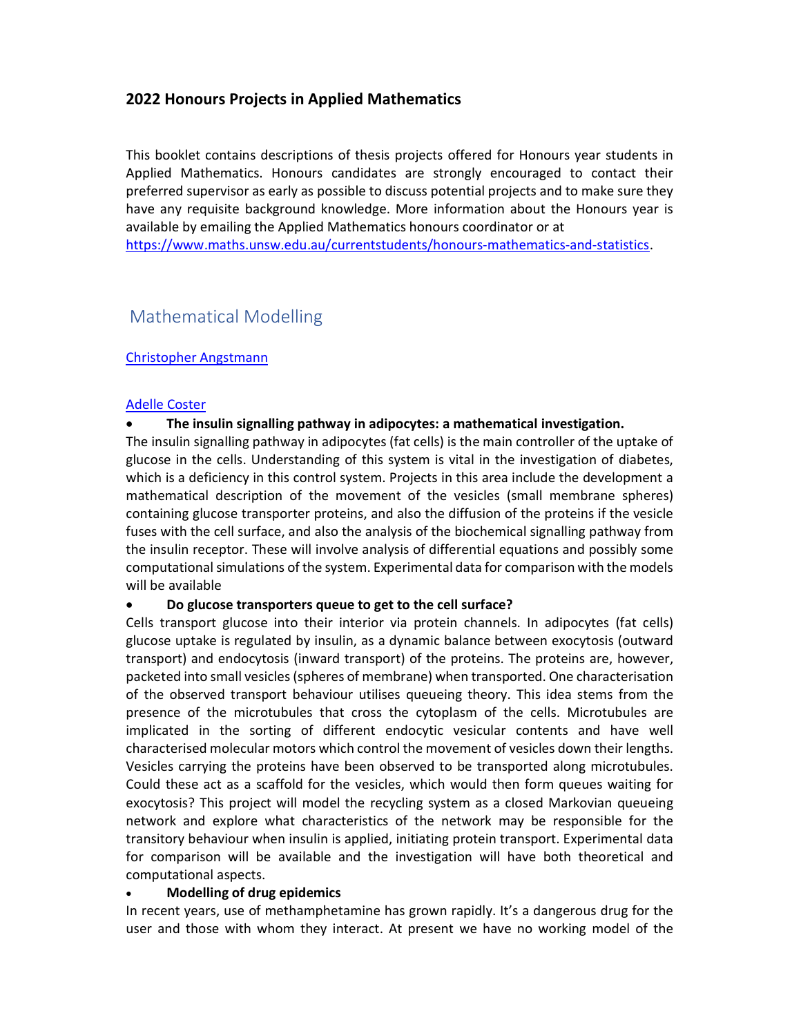# 2022 Honours Projects in Applied Mathematics

This booklet contains descriptions of thesis projects offered for Honours year students in Applied Mathematics. Honours candidates are strongly encouraged to contact their preferred supervisor as early as possible to discuss potential projects and to make sure they have any requisite background knowledge. More information about the Honours year is available by emailing the Applied Mathematics honours coordinator or at https://www.maths.unsw.edu.au/currentstudents/honours-mathematics-and-statistics.

# Mathematical Modelling

# Christopher Angstmann

## Adelle Coster

# The insulin signalling pathway in adipocytes: a mathematical investigation.

The insulin signalling pathway in adipocytes (fat cells) is the main controller of the uptake of glucose in the cells. Understanding of this system is vital in the investigation of diabetes, which is a deficiency in this control system. Projects in this area include the development a mathematical description of the movement of the vesicles (small membrane spheres) containing glucose transporter proteins, and also the diffusion of the proteins if the vesicle fuses with the cell surface, and also the analysis of the biochemical signalling pathway from the insulin receptor. These will involve analysis of differential equations and possibly some computational simulations of the system. Experimental data for comparison with the models will be available

## Do glucose transporters queue to get to the cell surface?

Cells transport glucose into their interior via protein channels. In adipocytes (fat cells) glucose uptake is regulated by insulin, as a dynamic balance between exocytosis (outward transport) and endocytosis (inward transport) of the proteins. The proteins are, however, packeted into small vesicles (spheres of membrane) when transported. One characterisation of the observed transport behaviour utilises queueing theory. This idea stems from the presence of the microtubules that cross the cytoplasm of the cells. Microtubules are implicated in the sorting of different endocytic vesicular contents and have well characterised molecular motors which control the movement of vesicles down their lengths. Vesicles carrying the proteins have been observed to be transported along microtubules. Could these act as a scaffold for the vesicles, which would then form queues waiting for exocytosis? This project will model the recycling system as a closed Markovian queueing network and explore what characteristics of the network may be responsible for the transitory behaviour when insulin is applied, initiating protein transport. Experimental data for comparison will be available and the investigation will have both theoretical and computational aspects.

## Modelling of drug epidemics

In recent years, use of methamphetamine has grown rapidly. It's a dangerous drug for the user and those with whom they interact. At present we have no working model of the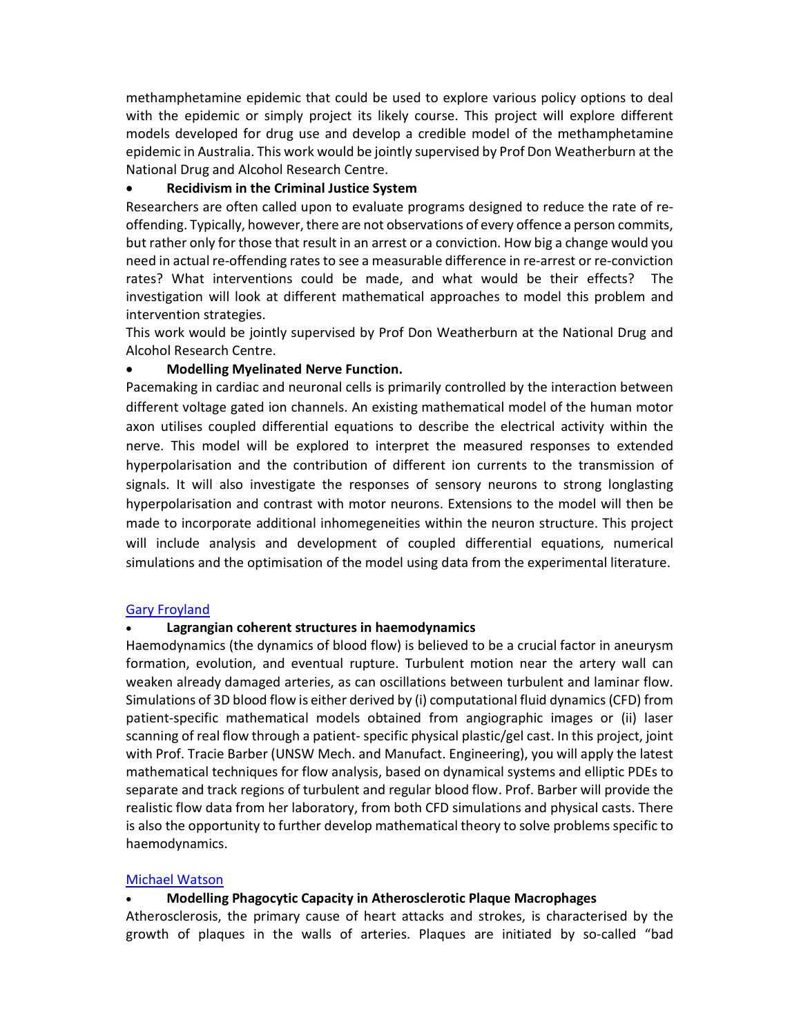methamphetamine epidemic that could be used to explore various policy options to deal with the epidemic or simply project its likely course. This project will explore different models developed for drug use and develop a credible model of the methamphetamine epidemic in Australia. This work would be jointly supervised by Prof Don Weatherburn at the National Drug and Alcohol Research Centre.

#### Recidivism in the Criminal Justice System

Researchers are often called upon to evaluate programs designed to reduce the rate of reoffending. Typically, however, there are not observations of every offence a person commits, but rather only for those that result in an arrest or a conviction. How big a change would you need in actual re-offending rates to see a measurable difference in re-arrest or re-conviction rates? What interventions could be made, and what would be their effects? The investigation will look at different mathematical approaches to model this problem and intervention strategies.

This work would be jointly supervised by Prof Don Weatherburn at the National Drug and Alcohol Research Centre.

#### Modelling Myelinated Nerve Function.

Pacemaking in cardiac and neuronal cells is primarily controlled by the interaction between different voltage gated ion channels. An existing mathematical model of the human motor axon utilises coupled differential equations to describe the electrical activity within the nerve. This model will be explored to interpret the measured responses to extended hyperpolarisation and the contribution of different ion currents to the transmission of signals. It will also investigate the responses of sensory neurons to strong longlasting hyperpolarisation and contrast with motor neurons. Extensions to the model will then be made to incorporate additional inhomegeneities within the neuron structure. This project will include analysis and development of coupled differential equations, numerical simulations and the optimisation of the model using data from the experimental literature.

#### Gary Froyland

#### Lagrangian coherent structures in haemodynamics

Haemodynamics (the dynamics of blood flow) is believed to be a crucial factor in aneurysm formation, evolution, and eventual rupture. Turbulent motion near the artery wall can weaken already damaged arteries, as can oscillations between turbulent and laminar flow. Simulations of 3D blood flow is either derived by (i) computational fluid dynamics (CFD) from patient-specific mathematical models obtained from angiographic images or (ii) laser scanning of real flow through a patient- specific physical plastic/gel cast. In this project, joint with Prof. Tracie Barber (UNSW Mech. and Manufact. Engineering), you will apply the latest mathematical techniques for flow analysis, based on dynamical systems and elliptic PDEs to separate and track regions of turbulent and regular blood flow. Prof. Barber will provide the realistic flow data from her laboratory, from both CFD simulations and physical casts. There is also the opportunity to further develop mathematical theory to solve problems specific to haemodynamics.

#### Michael Watson

#### Modelling Phagocytic Capacity in Atherosclerotic Plaque Macrophages

Atherosclerosis, the primary cause of heart attacks and strokes, is characterised by the growth of plaques in the walls of arteries. Plaques are initiated by so-called "bad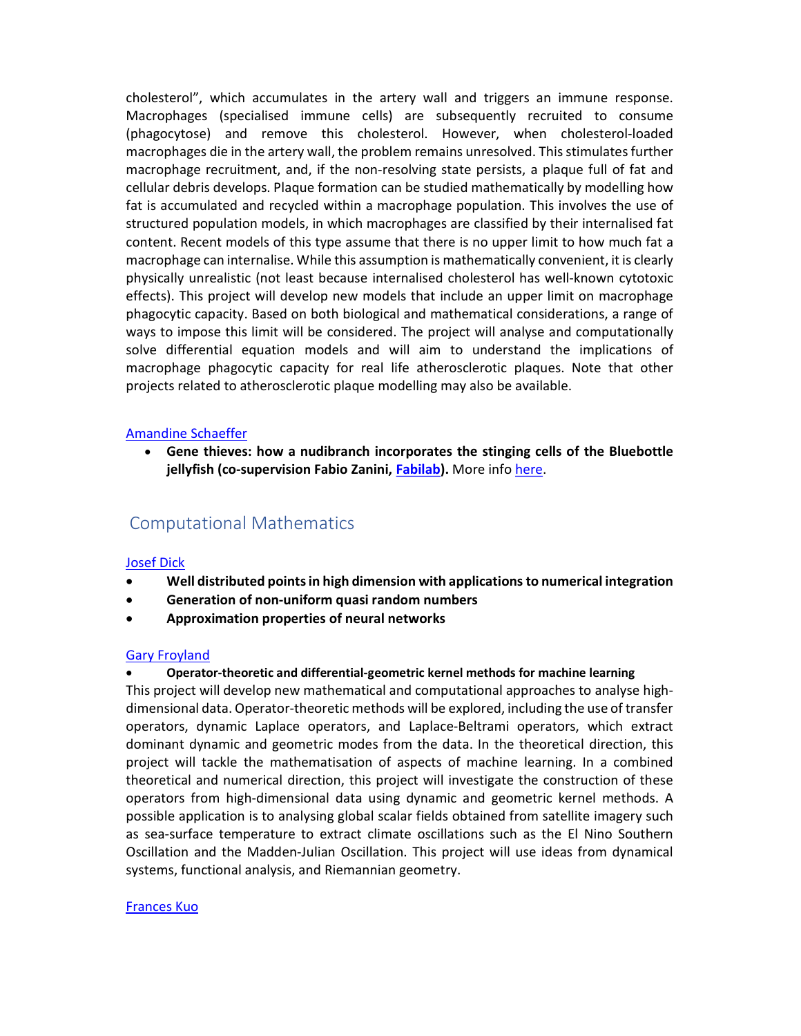cholesterol", which accumulates in the artery wall and triggers an immune response. Macrophages (specialised immune cells) are subsequently recruited to consume (phagocytose) and remove this cholesterol. However, when cholesterol-loaded macrophages die in the artery wall, the problem remains unresolved. This stimulates further macrophage recruitment, and, if the non-resolving state persists, a plaque full of fat and cellular debris develops. Plaque formation can be studied mathematically by modelling how fat is accumulated and recycled within a macrophage population. This involves the use of structured population models, in which macrophages are classified by their internalised fat content. Recent models of this type assume that there is no upper limit to how much fat a macrophage can internalise. While this assumption is mathematically convenient, it is clearly physically unrealistic (not least because internalised cholesterol has well-known cytotoxic effects). This project will develop new models that include an upper limit on macrophage phagocytic capacity. Based on both biological and mathematical considerations, a range of ways to impose this limit will be considered. The project will analyse and computationally solve differential equation models and will aim to understand the implications of macrophage phagocytic capacity for real life atherosclerotic plaques. Note that other projects related to atherosclerotic plaque modelling may also be available.

#### Amandine Schaeffer

 Gene thieves: how a nudibranch incorporates the stinging cells of the Bluebottle jellyfish (co-supervision Fabio Zanini, Fabilab). More info here.

# Computational Mathematics

## Josef Dick

- Well distributed points in high dimension with applications to numerical integration
- Generation of non-uniform quasi random numbers
- Approximation properties of neural networks

#### Gary Froyland

## Operator-theoretic and differential-geometric kernel methods for machine learning

This project will develop new mathematical and computational approaches to analyse highdimensional data. Operator-theoretic methods will be explored, including the use of transfer operators, dynamic Laplace operators, and Laplace-Beltrami operators, which extract dominant dynamic and geometric modes from the data. In the theoretical direction, this project will tackle the mathematisation of aspects of machine learning. In a combined theoretical and numerical direction, this project will investigate the construction of these operators from high-dimensional data using dynamic and geometric kernel methods. A possible application is to analysing global scalar fields obtained from satellite imagery such as sea-surface temperature to extract climate oscillations such as the El Nino Southern Oscillation and the Madden-Julian Oscillation. This project will use ideas from dynamical systems, functional analysis, and Riemannian geometry.

## Frances Kuo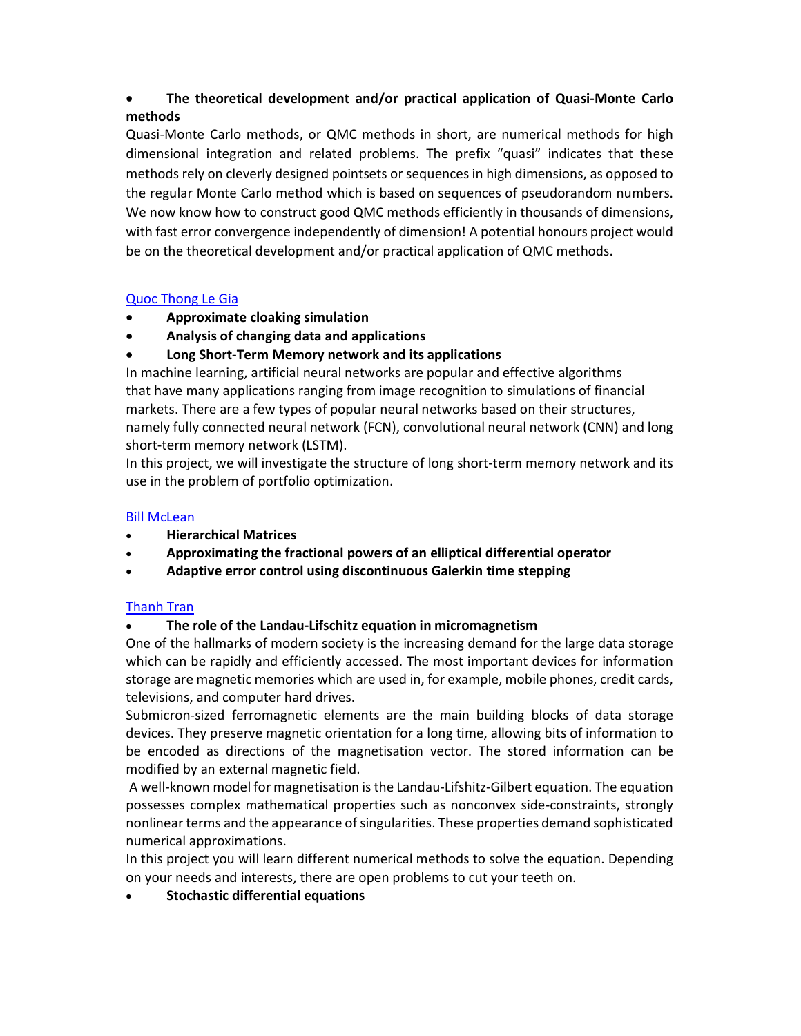# The theoretical development and/or practical application of Quasi-Monte Carlo methods

Quasi-Monte Carlo methods, or QMC methods in short, are numerical methods for high dimensional integration and related problems. The prefix "quasi" indicates that these methods rely on cleverly designed pointsets or sequences in high dimensions, as opposed to the regular Monte Carlo method which is based on sequences of pseudorandom numbers. We now know how to construct good QMC methods efficiently in thousands of dimensions, with fast error convergence independently of dimension! A potential honours project would be on the theoretical development and/or practical application of QMC methods.

# Quoc Thong Le Gia

- Approximate cloaking simulation
- Analysis of changing data and applications
- Long Short-Term Memory network and its applications

In machine learning, artificial neural networks are popular and effective algorithms that have many applications ranging from image recognition to simulations of financial markets. There are a few types of popular neural networks based on their structures, namely fully connected neural network (FCN), convolutional neural network (CNN) and long short-term memory network (LSTM).

In this project, we will investigate the structure of long short-term memory network and its use in the problem of portfolio optimization.

# Bill McLean

- Hierarchical Matrices
- Approximating the fractional powers of an elliptical differential operator
- Adaptive error control using discontinuous Galerkin time stepping

# Thanh Tran

# The role of the Landau-Lifschitz equation in micromagnetism

One of the hallmarks of modern society is the increasing demand for the large data storage which can be rapidly and efficiently accessed. The most important devices for information storage are magnetic memories which are used in, for example, mobile phones, credit cards, televisions, and computer hard drives.

Submicron-sized ferromagnetic elements are the main building blocks of data storage devices. They preserve magnetic orientation for a long time, allowing bits of information to be encoded as directions of the magnetisation vector. The stored information can be modified by an external magnetic field.

 A well-known model for magnetisation is the Landau-Lifshitz-Gilbert equation. The equation possesses complex mathematical properties such as nonconvex side-constraints, strongly nonlinear terms and the appearance of singularities. These properties demand sophisticated numerical approximations.

In this project you will learn different numerical methods to solve the equation. Depending on your needs and interests, there are open problems to cut your teeth on.

# Stochastic differential equations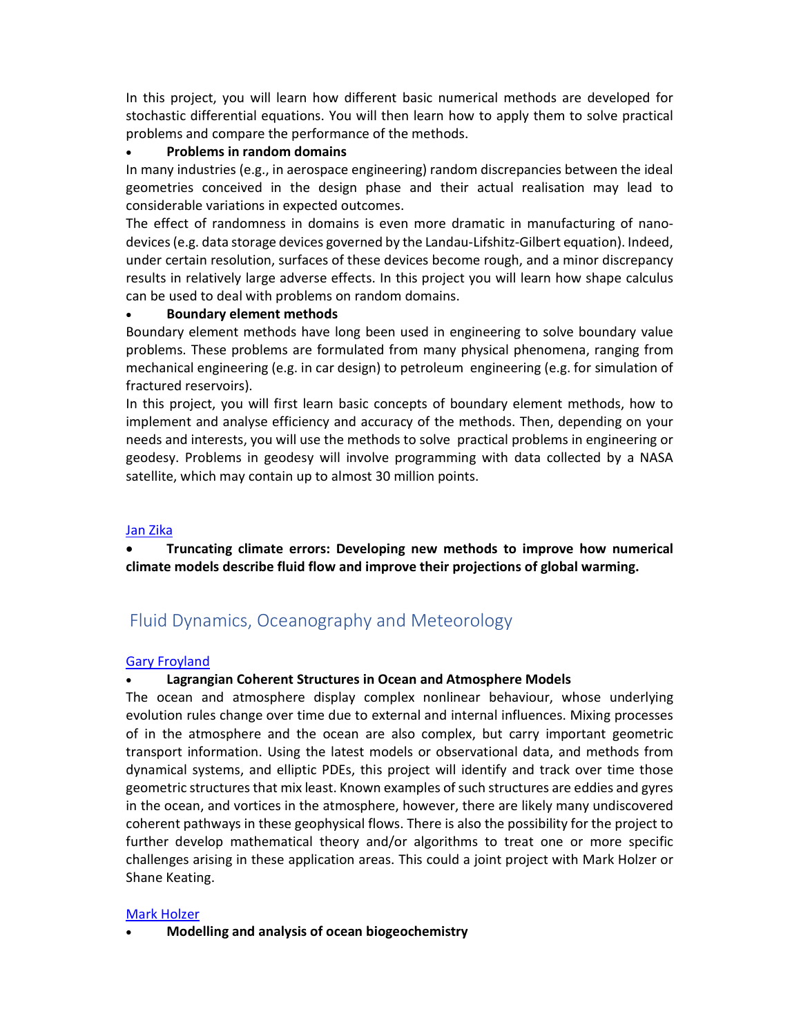In this project, you will learn how different basic numerical methods are developed for stochastic differential equations. You will then learn how to apply them to solve practical problems and compare the performance of the methods.

# Problems in random domains

In many industries (e.g., in aerospace engineering) random discrepancies between the ideal geometries conceived in the design phase and their actual realisation may lead to considerable variations in expected outcomes.

The effect of randomness in domains is even more dramatic in manufacturing of nanodevices (e.g. data storage devices governed by the Landau-Lifshitz-Gilbert equation). Indeed, under certain resolution, surfaces of these devices become rough, and a minor discrepancy results in relatively large adverse effects. In this project you will learn how shape calculus can be used to deal with problems on random domains.

# Boundary element methods

Boundary element methods have long been used in engineering to solve boundary value problems. These problems are formulated from many physical phenomena, ranging from mechanical engineering (e.g. in car design) to petroleum engineering (e.g. for simulation of fractured reservoirs).

In this project, you will first learn basic concepts of boundary element methods, how to implement and analyse efficiency and accuracy of the methods. Then, depending on your needs and interests, you will use the methods to solve practical problems in engineering or geodesy. Problems in geodesy will involve programming with data collected by a NASA satellite, which may contain up to almost 30 million points.

# Jan Zika

 Truncating climate errors: Developing new methods to improve how numerical climate models describe fluid flow and improve their projections of global warming.

# Fluid Dynamics, Oceanography and Meteorology

## Gary Froyland

# Lagrangian Coherent Structures in Ocean and Atmosphere Models

The ocean and atmosphere display complex nonlinear behaviour, whose underlying evolution rules change over time due to external and internal influences. Mixing processes of in the atmosphere and the ocean are also complex, but carry important geometric transport information. Using the latest models or observational data, and methods from dynamical systems, and elliptic PDEs, this project will identify and track over time those geometric structures that mix least. Known examples of such structures are eddies and gyres in the ocean, and vortices in the atmosphere, however, there are likely many undiscovered coherent pathways in these geophysical flows. There is also the possibility for the project to further develop mathematical theory and/or algorithms to treat one or more specific challenges arising in these application areas. This could a joint project with Mark Holzer or Shane Keating.

## Mark Holzer

Modelling and analysis of ocean biogeochemistry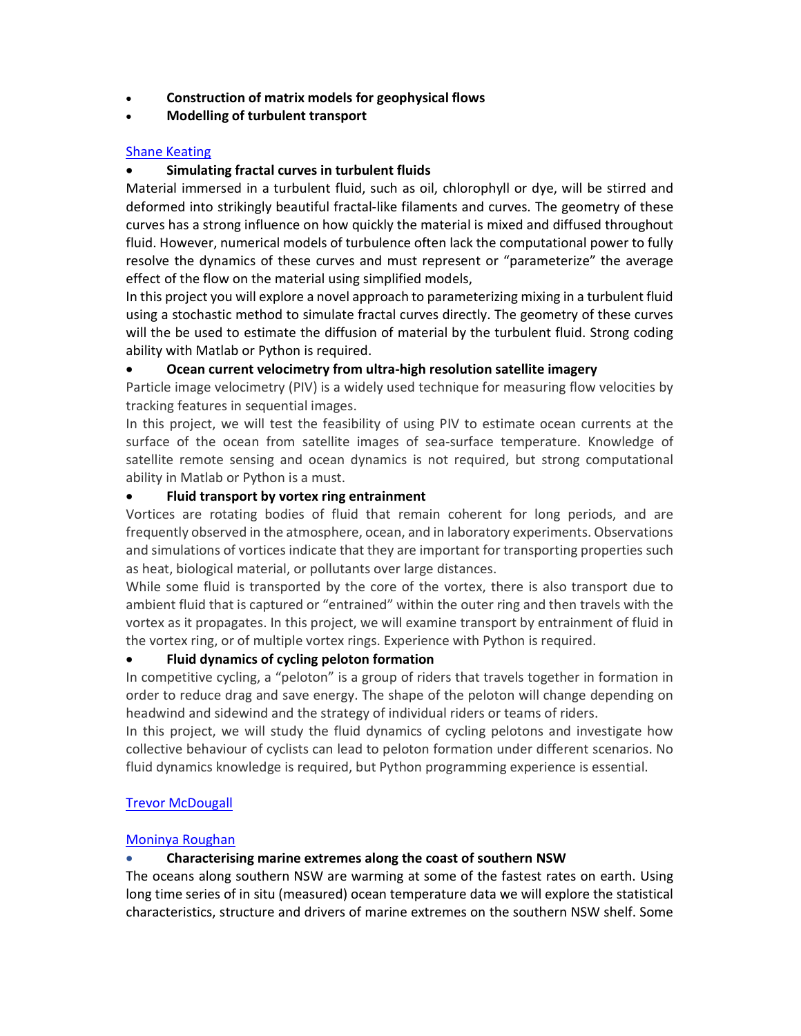- Construction of matrix models for geophysical flows
- Modelling of turbulent transport

# Shane Keating

# Simulating fractal curves in turbulent fluids

Material immersed in a turbulent fluid, such as oil, chlorophyll or dye, will be stirred and deformed into strikingly beautiful fractal-like filaments and curves. The geometry of these curves has a strong influence on how quickly the material is mixed and diffused throughout fluid. However, numerical models of turbulence often lack the computational power to fully resolve the dynamics of these curves and must represent or "parameterize" the average effect of the flow on the material using simplified models,

In this project you will explore a novel approach to parameterizing mixing in a turbulent fluid using a stochastic method to simulate fractal curves directly. The geometry of these curves will the be used to estimate the diffusion of material by the turbulent fluid. Strong coding ability with Matlab or Python is required.

# Ocean current velocimetry from ultra-high resolution satellite imagery

Particle image velocimetry (PIV) is a widely used technique for measuring flow velocities by tracking features in sequential images.

In this project, we will test the feasibility of using PIV to estimate ocean currents at the surface of the ocean from satellite images of sea-surface temperature. Knowledge of satellite remote sensing and ocean dynamics is not required, but strong computational ability in Matlab or Python is a must.

# Fluid transport by vortex ring entrainment

Vortices are rotating bodies of fluid that remain coherent for long periods, and are frequently observed in the atmosphere, ocean, and in laboratory experiments. Observations and simulations of vortices indicate that they are important for transporting properties such as heat, biological material, or pollutants over large distances.

While some fluid is transported by the core of the vortex, there is also transport due to ambient fluid that is captured or "entrained" within the outer ring and then travels with the vortex as it propagates. In this project, we will examine transport by entrainment of fluid in the vortex ring, or of multiple vortex rings. Experience with Python is required.

# Fluid dynamics of cycling peloton formation

In competitive cycling, a "peloton" is a group of riders that travels together in formation in order to reduce drag and save energy. The shape of the peloton will change depending on headwind and sidewind and the strategy of individual riders or teams of riders.

In this project, we will study the fluid dynamics of cycling pelotons and investigate how collective behaviour of cyclists can lead to peloton formation under different scenarios. No fluid dynamics knowledge is required, but Python programming experience is essential.

## Trevor McDougall

## Moninya Roughan

## Characterising marine extremes along the coast of southern NSW

The oceans along southern NSW are warming at some of the fastest rates on earth. Using long time series of in situ (measured) ocean temperature data we will explore the statistical characteristics, structure and drivers of marine extremes on the southern NSW shelf. Some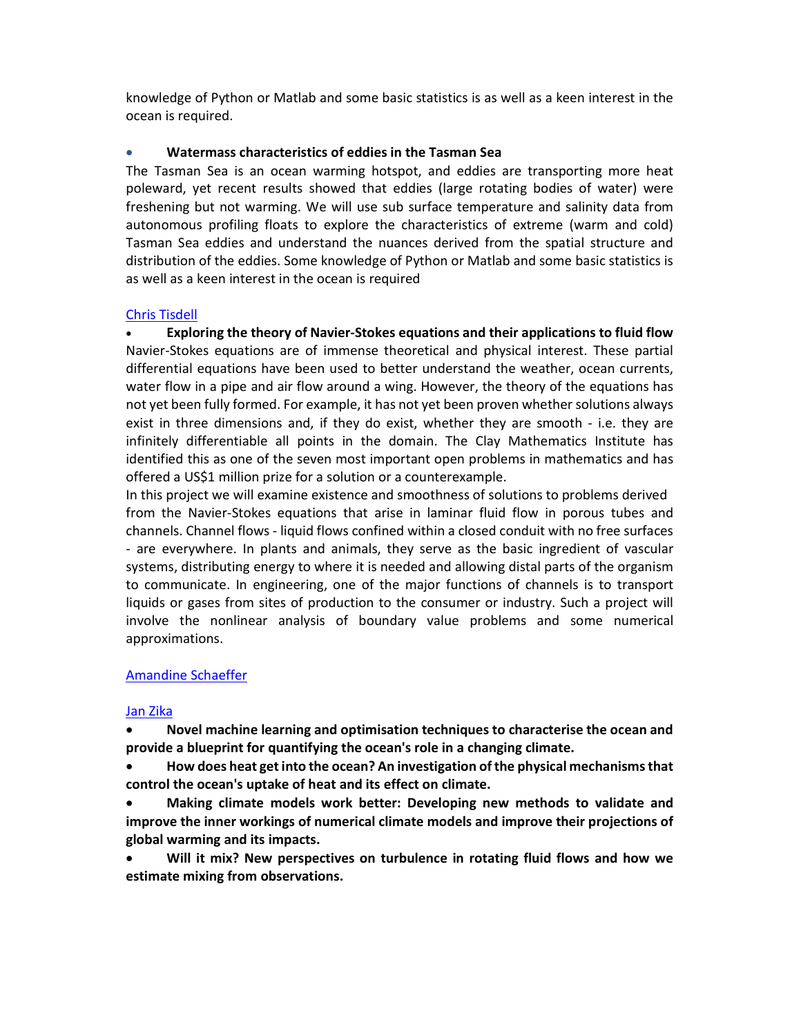knowledge of Python or Matlab and some basic statistics is as well as a keen interest in the ocean is required.

# Watermass characteristics of eddies in the Tasman Sea

The Tasman Sea is an ocean warming hotspot, and eddies are transporting more heat poleward, yet recent results showed that eddies (large rotating bodies of water) were freshening but not warming. We will use sub surface temperature and salinity data from autonomous profiling floats to explore the characteristics of extreme (warm and cold) Tasman Sea eddies and understand the nuances derived from the spatial structure and distribution of the eddies. Some knowledge of Python or Matlab and some basic statistics is as well as a keen interest in the ocean is required

# Chris Tisdell

 Exploring the theory of Navier-Stokes equations and their applications to fluid flow Navier-Stokes equations are of immense theoretical and physical interest. These partial differential equations have been used to better understand the weather, ocean currents, water flow in a pipe and air flow around a wing. However, the theory of the equations has not yet been fully formed. For example, it has not yet been proven whether solutions always exist in three dimensions and, if they do exist, whether they are smooth - i.e. they are infinitely differentiable all points in the domain. The Clay Mathematics Institute has identified this as one of the seven most important open problems in mathematics and has offered a US\$1 million prize for a solution or a counterexample.

In this project we will examine existence and smoothness of solutions to problems derived from the Navier-Stokes equations that arise in laminar fluid flow in porous tubes and channels. Channel flows - liquid flows confined within a closed conduit with no free surfaces - are everywhere. In plants and animals, they serve as the basic ingredient of vascular systems, distributing energy to where it is needed and allowing distal parts of the organism to communicate. In engineering, one of the major functions of channels is to transport liquids or gases from sites of production to the consumer or industry. Such a project will involve the nonlinear analysis of boundary value problems and some numerical approximations.

# Amandine Schaeffer

## Jan Zika

 Novel machine learning and optimisation techniques to characterise the ocean and provide a blueprint for quantifying the ocean's role in a changing climate.

 How does heat get into the ocean? An investigation of the physical mechanisms that control the ocean's uptake of heat and its effect on climate.

 Making climate models work better: Developing new methods to validate and improve the inner workings of numerical climate models and improve their projections of global warming and its impacts.

 Will it mix? New perspectives on turbulence in rotating fluid flows and how we estimate mixing from observations.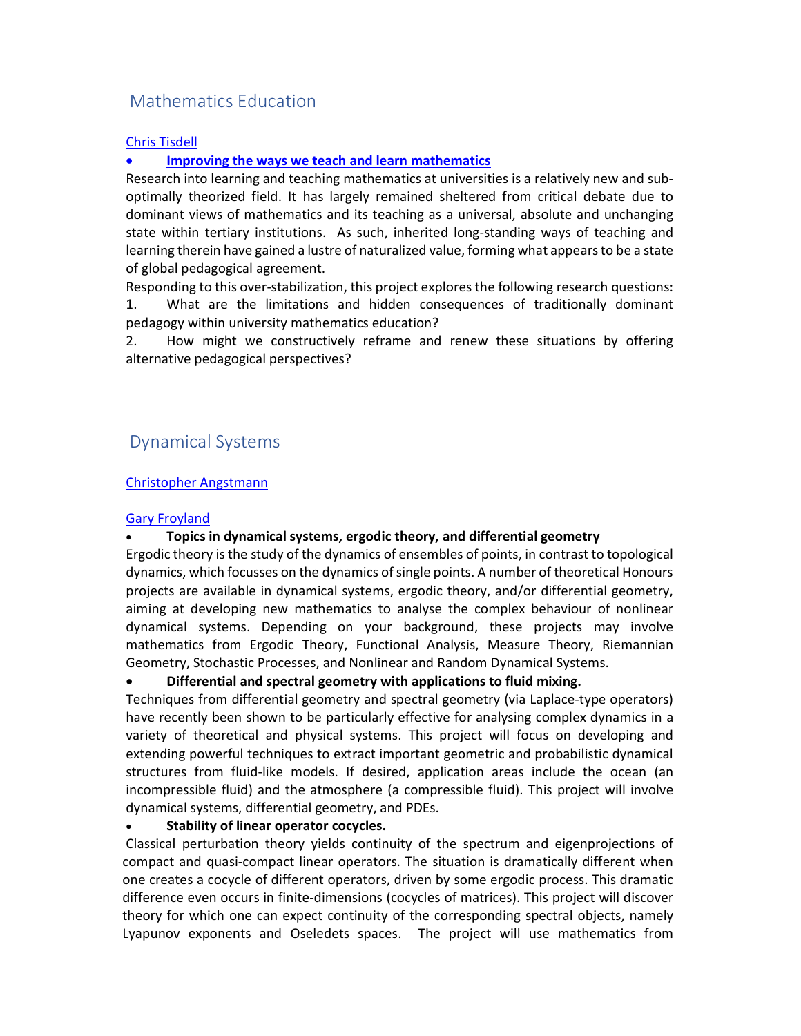# Mathematics Education

#### Chris Tisdell

## Improving the ways we teach and learn mathematics

Research into learning and teaching mathematics at universities is a relatively new and suboptimally theorized field. It has largely remained sheltered from critical debate due to dominant views of mathematics and its teaching as a universal, absolute and unchanging state within tertiary institutions. As such, inherited long-standing ways of teaching and learning therein have gained a lustre of naturalized value, forming what appears to be a state of global pedagogical agreement.

Responding to this over-stabilization, this project explores the following research questions: 1. What are the limitations and hidden consequences of traditionally dominant pedagogy within university mathematics education?

2. How might we constructively reframe and renew these situations by offering alternative pedagogical perspectives?

# Dynamical Systems

#### Christopher Angstmann

#### Gary Froyland

## Topics in dynamical systems, ergodic theory, and differential geometry

Ergodic theory is the study of the dynamics of ensembles of points, in contrast to topological dynamics, which focusses on the dynamics of single points. A number of theoretical Honours projects are available in dynamical systems, ergodic theory, and/or differential geometry, aiming at developing new mathematics to analyse the complex behaviour of nonlinear dynamical systems. Depending on your background, these projects may involve mathematics from Ergodic Theory, Functional Analysis, Measure Theory, Riemannian Geometry, Stochastic Processes, and Nonlinear and Random Dynamical Systems.

## Differential and spectral geometry with applications to fluid mixing.

Techniques from differential geometry and spectral geometry (via Laplace-type operators) have recently been shown to be particularly effective for analysing complex dynamics in a variety of theoretical and physical systems. This project will focus on developing and extending powerful techniques to extract important geometric and probabilistic dynamical structures from fluid-like models. If desired, application areas include the ocean (an incompressible fluid) and the atmosphere (a compressible fluid). This project will involve dynamical systems, differential geometry, and PDEs.

#### Stability of linear operator cocycles.

Classical perturbation theory yields continuity of the spectrum and eigenprojections of compact and quasi-compact linear operators. The situation is dramatically different when one creates a cocycle of different operators, driven by some ergodic process. This dramatic difference even occurs in finite-dimensions (cocycles of matrices). This project will discover theory for which one can expect continuity of the corresponding spectral objects, namely Lyapunov exponents and Oseledets spaces. The project will use mathematics from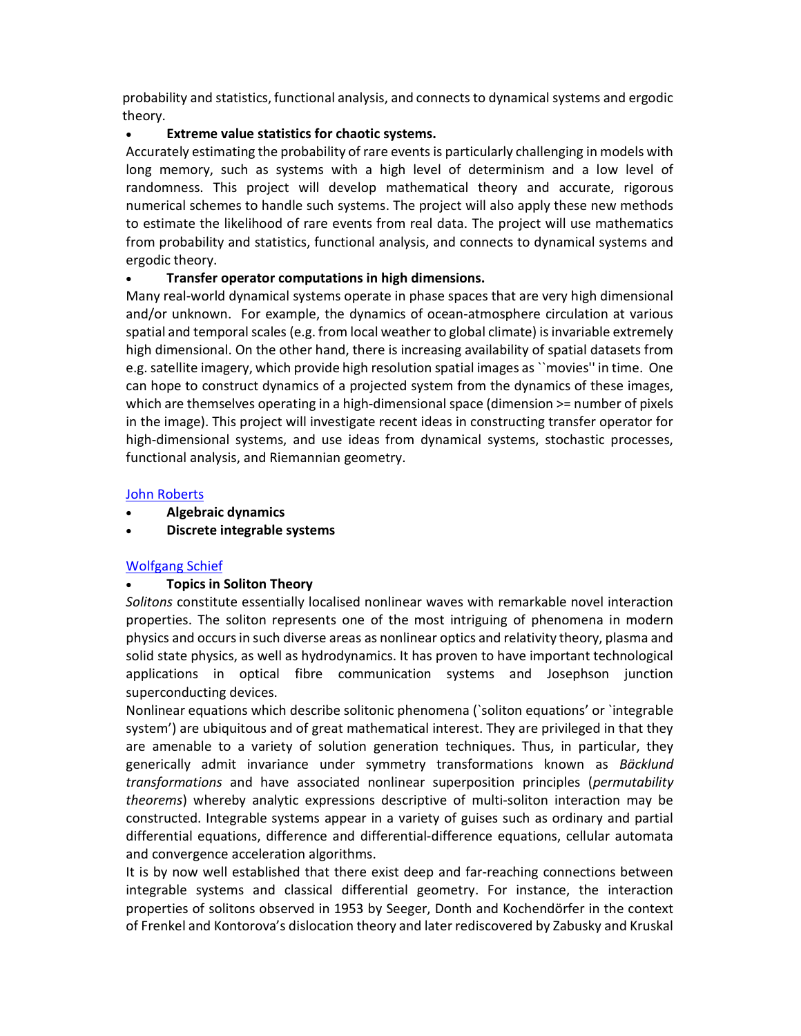probability and statistics, functional analysis, and connects to dynamical systems and ergodic theory.

# Extreme value statistics for chaotic systems.

Accurately estimating the probability of rare events is particularly challenging in models with long memory, such as systems with a high level of determinism and a low level of randomness. This project will develop mathematical theory and accurate, rigorous numerical schemes to handle such systems. The project will also apply these new methods to estimate the likelihood of rare events from real data. The project will use mathematics from probability and statistics, functional analysis, and connects to dynamical systems and ergodic theory.

# Transfer operator computations in high dimensions.

Many real-world dynamical systems operate in phase spaces that are very high dimensional and/or unknown. For example, the dynamics of ocean-atmosphere circulation at various spatial and temporal scales (e.g. from local weather to global climate) is invariable extremely high dimensional. On the other hand, there is increasing availability of spatial datasets from e.g. satellite imagery, which provide high resolution spatial images as ``movies'' in time. One can hope to construct dynamics of a projected system from the dynamics of these images, which are themselves operating in a high-dimensional space (dimension  $>=$  number of pixels in the image). This project will investigate recent ideas in constructing transfer operator for high-dimensional systems, and use ideas from dynamical systems, stochastic processes, functional analysis, and Riemannian geometry.

# John Roberts

- Algebraic dynamics
- Discrete integrable systems

# Wolfgang Schief

# Topics in Soliton Theory

Solitons constitute essentially localised nonlinear waves with remarkable novel interaction properties. The soliton represents one of the most intriguing of phenomena in modern physics and occurs in such diverse areas as nonlinear optics and relativity theory, plasma and solid state physics, as well as hydrodynamics. It has proven to have important technological applications in optical fibre communication systems and Josephson junction superconducting devices.

Nonlinear equations which describe solitonic phenomena (`soliton equations' or `integrable system') are ubiquitous and of great mathematical interest. They are privileged in that they are amenable to a variety of solution generation techniques. Thus, in particular, they generically admit invariance under symmetry transformations known as Bäcklund transformations and have associated nonlinear superposition principles (permutability theorems) whereby analytic expressions descriptive of multi-soliton interaction may be constructed. Integrable systems appear in a variety of guises such as ordinary and partial differential equations, difference and differential-difference equations, cellular automata and convergence acceleration algorithms.

It is by now well established that there exist deep and far-reaching connections between integrable systems and classical differential geometry. For instance, the interaction properties of solitons observed in 1953 by Seeger, Donth and Kochendörfer in the context of Frenkel and Kontorova's dislocation theory and later rediscovered by Zabusky and Kruskal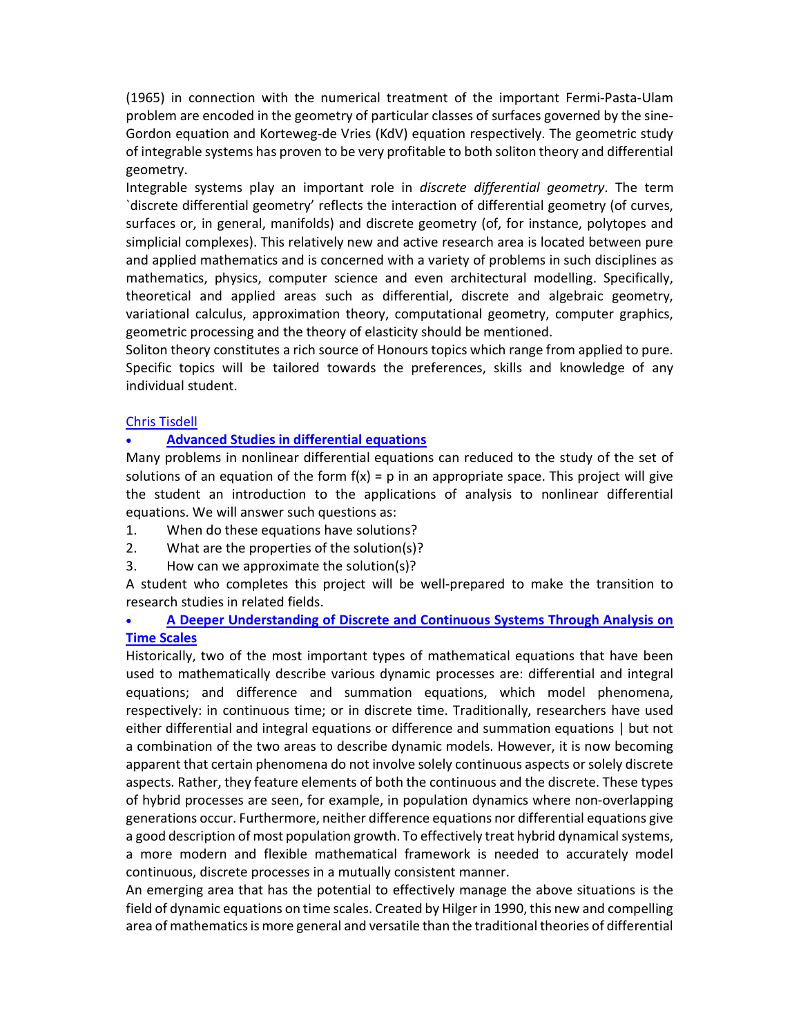(1965) in connection with the numerical treatment of the important Fermi-Pasta-Ulam problem are encoded in the geometry of particular classes of surfaces governed by the sine-Gordon equation and Korteweg-de Vries (KdV) equation respectively. The geometric study of integrable systems has proven to be very profitable to both soliton theory and differential geometry.

Integrable systems play an important role in discrete differential geometry. The term `discrete differential geometry' reflects the interaction of differential geometry (of curves, surfaces or, in general, manifolds) and discrete geometry (of, for instance, polytopes and simplicial complexes). This relatively new and active research area is located between pure and applied mathematics and is concerned with a variety of problems in such disciplines as mathematics, physics, computer science and even architectural modelling. Specifically, theoretical and applied areas such as differential, discrete and algebraic geometry, variational calculus, approximation theory, computational geometry, computer graphics, geometric processing and the theory of elasticity should be mentioned.

Soliton theory constitutes a rich source of Honours topics which range from applied to pure. Specific topics will be tailored towards the preferences, skills and knowledge of any individual student.

## Chris Tisdell

## Advanced Studies in differential equations

Many problems in nonlinear differential equations can reduced to the study of the set of solutions of an equation of the form  $f(x) = p$  in an appropriate space. This project will give the student an introduction to the applications of analysis to nonlinear differential equations. We will answer such questions as:

- 1. When do these equations have solutions?
- 2. What are the properties of the solution(s)?
- 3. How can we approximate the solution(s)?

A student who completes this project will be well-prepared to make the transition to research studies in related fields.

 A Deeper Understanding of Discrete and Continuous Systems Through Analysis on Time Scales

Historically, two of the most important types of mathematical equations that have been used to mathematically describe various dynamic processes are: differential and integral equations; and difference and summation equations, which model phenomena, respectively: in continuous time; or in discrete time. Traditionally, researchers have used either differential and integral equations or difference and summation equations | but not a combination of the two areas to describe dynamic models. However, it is now becoming apparent that certain phenomena do not involve solely continuous aspects or solely discrete aspects. Rather, they feature elements of both the continuous and the discrete. These types of hybrid processes are seen, for example, in population dynamics where non-overlapping generations occur. Furthermore, neither difference equations nor differential equations give a good description of most population growth. To effectively treat hybrid dynamical systems, a more modern and flexible mathematical framework is needed to accurately model continuous, discrete processes in a mutually consistent manner.

An emerging area that has the potential to effectively manage the above situations is the field of dynamic equations on time scales. Created by Hilger in 1990, this new and compelling area of mathematics is more general and versatile than the traditional theories of differential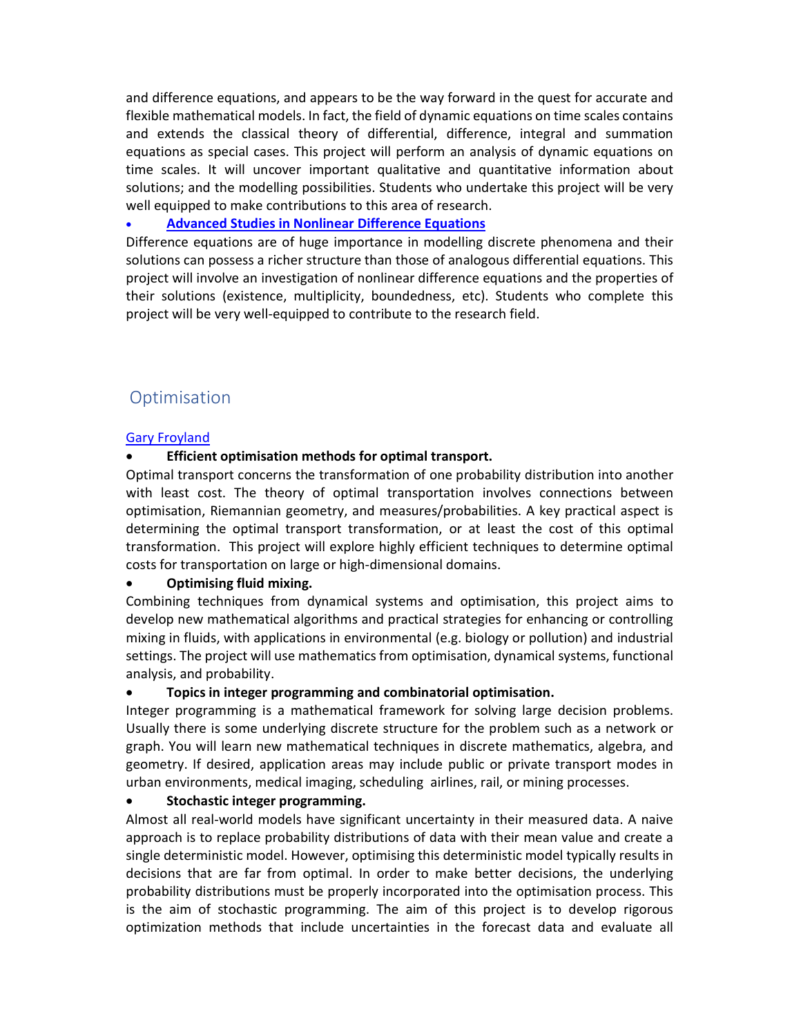and difference equations, and appears to be the way forward in the quest for accurate and flexible mathematical models. In fact, the field of dynamic equations on time scales contains and extends the classical theory of differential, difference, integral and summation equations as special cases. This project will perform an analysis of dynamic equations on time scales. It will uncover important qualitative and quantitative information about solutions; and the modelling possibilities. Students who undertake this project will be very well equipped to make contributions to this area of research.

# Advanced Studies in Nonlinear Difference Equations

Difference equations are of huge importance in modelling discrete phenomena and their solutions can possess a richer structure than those of analogous differential equations. This project will involve an investigation of nonlinear difference equations and the properties of their solutions (existence, multiplicity, boundedness, etc). Students who complete this project will be very well-equipped to contribute to the research field.

# **Optimisation**

# Gary Froyland

# Efficient optimisation methods for optimal transport.

Optimal transport concerns the transformation of one probability distribution into another with least cost. The theory of optimal transportation involves connections between optimisation, Riemannian geometry, and measures/probabilities. A key practical aspect is determining the optimal transport transformation, or at least the cost of this optimal transformation. This project will explore highly efficient techniques to determine optimal costs for transportation on large or high-dimensional domains.

# Optimising fluid mixing.

Combining techniques from dynamical systems and optimisation, this project aims to develop new mathematical algorithms and practical strategies for enhancing or controlling mixing in fluids, with applications in environmental (e.g. biology or pollution) and industrial settings. The project will use mathematics from optimisation, dynamical systems, functional analysis, and probability.

## Topics in integer programming and combinatorial optimisation.

Integer programming is a mathematical framework for solving large decision problems. Usually there is some underlying discrete structure for the problem such as a network or graph. You will learn new mathematical techniques in discrete mathematics, algebra, and geometry. If desired, application areas may include public or private transport modes in urban environments, medical imaging, scheduling airlines, rail, or mining processes.

## Stochastic integer programming.

Almost all real-world models have significant uncertainty in their measured data. A naive approach is to replace probability distributions of data with their mean value and create a single deterministic model. However, optimising this deterministic model typically results in decisions that are far from optimal. In order to make better decisions, the underlying probability distributions must be properly incorporated into the optimisation process. This is the aim of stochastic programming. The aim of this project is to develop rigorous optimization methods that include uncertainties in the forecast data and evaluate all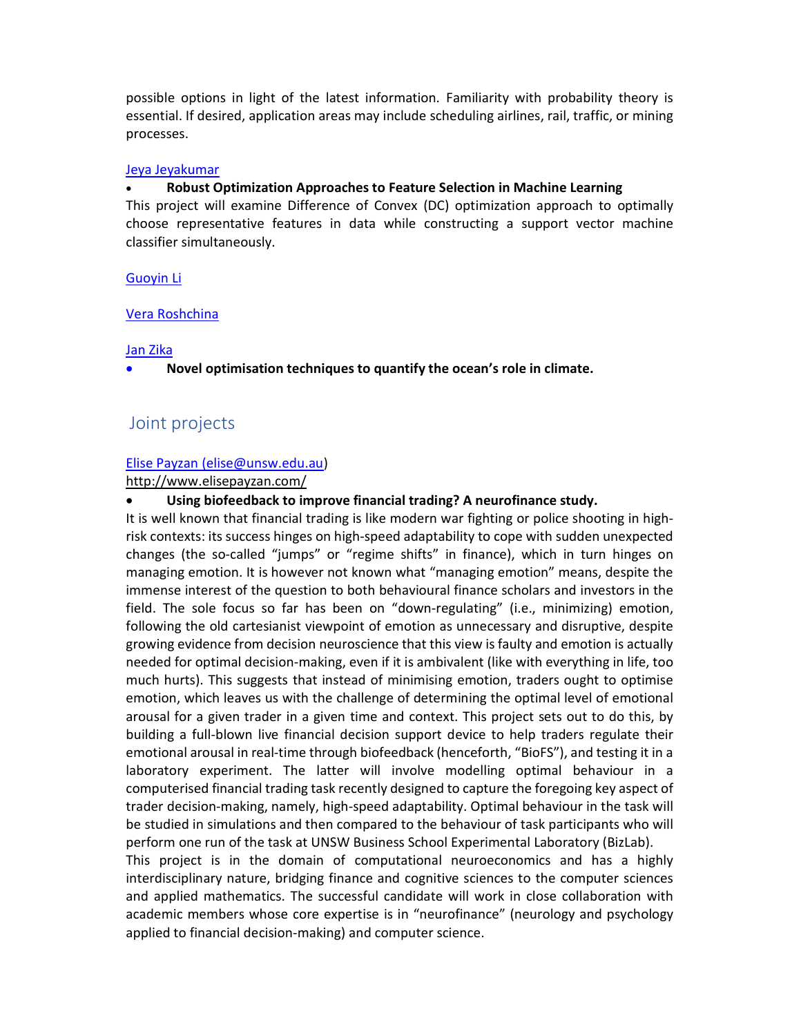possible options in light of the latest information. Familiarity with probability theory is essential. If desired, application areas may include scheduling airlines, rail, traffic, or mining processes.

#### Jeya Jeyakumar

## Robust Optimization Approaches to Feature Selection in Machine Learning

This project will examine Difference of Convex (DC) optimization approach to optimally choose representative features in data while constructing a support vector machine classifier simultaneously.

## Guoyin Li

## Vera Roshchina

## Jan Zika

Novel optimisation techniques to quantify the ocean's role in climate.

# Joint projects

# Elise Payzan (elise@unsw.edu.au)

# http://www.elisepayzan.com/

# Using biofeedback to improve financial trading? A neurofinance study.

It is well known that financial trading is like modern war fighting or police shooting in highrisk contexts: its success hinges on high-speed adaptability to cope with sudden unexpected changes (the so-called "jumps" or "regime shifts" in finance), which in turn hinges on managing emotion. It is however not known what "managing emotion" means, despite the immense interest of the question to both behavioural finance scholars and investors in the field. The sole focus so far has been on "down-regulating" (i.e., minimizing) emotion, following the old cartesianist viewpoint of emotion as unnecessary and disruptive, despite growing evidence from decision neuroscience that this view is faulty and emotion is actually needed for optimal decision-making, even if it is ambivalent (like with everything in life, too much hurts). This suggests that instead of minimising emotion, traders ought to optimise emotion, which leaves us with the challenge of determining the optimal level of emotional arousal for a given trader in a given time and context. This project sets out to do this, by building a full-blown live financial decision support device to help traders regulate their emotional arousal in real-time through biofeedback (henceforth, "BioFS"), and testing it in a laboratory experiment. The latter will involve modelling optimal behaviour in a computerised financial trading task recently designed to capture the foregoing key aspect of trader decision-making, namely, high-speed adaptability. Optimal behaviour in the task will be studied in simulations and then compared to the behaviour of task participants who will perform one run of the task at UNSW Business School Experimental Laboratory (BizLab).

This project is in the domain of computational neuroeconomics and has a highly interdisciplinary nature, bridging finance and cognitive sciences to the computer sciences and applied mathematics. The successful candidate will work in close collaboration with academic members whose core expertise is in "neurofinance" (neurology and psychology applied to financial decision-making) and computer science.